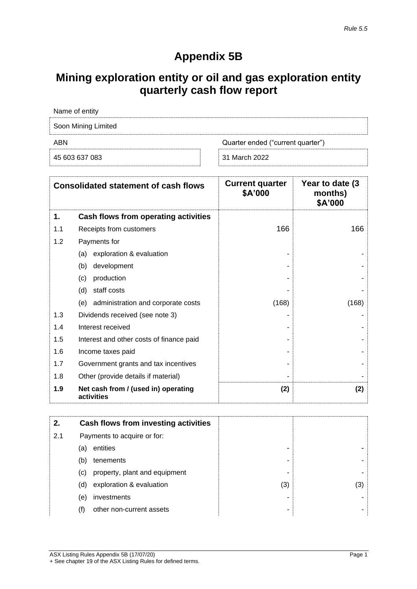# **Appendix 5B**

# **Mining exploration entity or oil and gas exploration entity quarterly cash flow report**

| Name of entity      |                                   |
|---------------------|-----------------------------------|
| Soon Mining Limited |                                   |
| ABN                 | Quarter ended ("current quarter") |
| 45 603 637 083      | 31 March 2022                     |

|     | <b>Consolidated statement of cash flows</b>       | <b>Current quarter</b><br>\$A'000 | Year to date (3)<br>months)<br>\$A'000 |
|-----|---------------------------------------------------|-----------------------------------|----------------------------------------|
| 1.  | Cash flows from operating activities              |                                   |                                        |
| 1.1 | Receipts from customers                           | 166                               | 166                                    |
| 1.2 | Payments for                                      |                                   |                                        |
|     | exploration & evaluation<br>(a)                   |                                   |                                        |
|     | (b)<br>development                                |                                   |                                        |
|     | production<br>(c)                                 |                                   |                                        |
|     | staff costs<br>(d)                                |                                   |                                        |
|     | administration and corporate costs<br>(e)         | (168)                             | (168)                                  |
| 1.3 | Dividends received (see note 3)                   |                                   |                                        |
| 1.4 | Interest received                                 |                                   |                                        |
| 1.5 | Interest and other costs of finance paid          |                                   |                                        |
| 1.6 | Income taxes paid                                 |                                   |                                        |
| 1.7 | Government grants and tax incentives              |                                   |                                        |
| 1.8 | Other (provide details if material)               |                                   |                                        |
| 1.9 | Net cash from / (used in) operating<br>activities | (2)                               | (2)                                    |

| 2.  |     | Cash flows from investing activities |     |     |
|-----|-----|--------------------------------------|-----|-----|
| 2.1 |     | Payments to acquire or for:          |     |     |
|     | (a) | entities                             |     |     |
|     | (b) | tenements                            | ۰   |     |
|     | (C) | property, plant and equipment        | -   |     |
|     | (d) | exploration & evaluation             | (3) | (3) |
|     | (e) | investments                          |     |     |
|     |     | other non-current assets             | -   |     |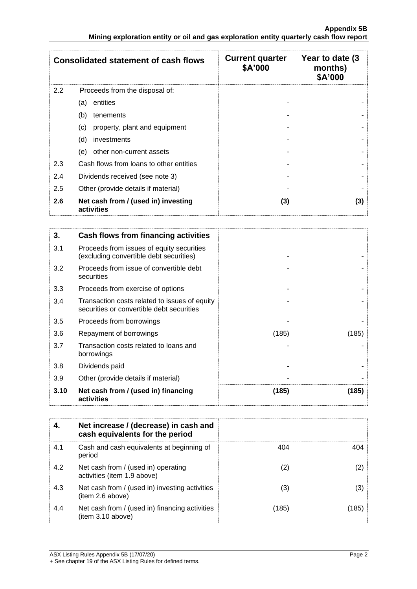|     | <b>Consolidated statement of cash flows</b>       | <b>Current quarter</b><br>\$A'000 | Year to date (3)<br>months)<br>\$A'000 |
|-----|---------------------------------------------------|-----------------------------------|----------------------------------------|
| 2.2 | Proceeds from the disposal of:                    |                                   |                                        |
|     | entities<br>(a)                                   |                                   |                                        |
|     | (b)<br>tenements                                  |                                   |                                        |
|     | property, plant and equipment<br>(c)              |                                   |                                        |
|     | (d)<br>investments                                |                                   |                                        |
|     | other non-current assets<br>(e)                   |                                   |                                        |
| 2.3 | Cash flows from loans to other entities           |                                   |                                        |
| 2.4 | Dividends received (see note 3)                   |                                   |                                        |
| 2.5 | Other (provide details if material)               |                                   |                                        |
| 2.6 | Net cash from / (used in) investing<br>activities | (3)                               | (3)                                    |

| 3.   | Cash flows from financing activities                                                       |       |       |
|------|--------------------------------------------------------------------------------------------|-------|-------|
| 3.1  | Proceeds from issues of equity securities<br>(excluding convertible debt securities)       |       |       |
| 3.2  | Proceeds from issue of convertible debt<br>securities                                      |       |       |
| 3.3  | Proceeds from exercise of options                                                          |       |       |
| 3.4  | Transaction costs related to issues of equity<br>securities or convertible debt securities |       |       |
| 3.5  | Proceeds from borrowings                                                                   |       |       |
| 3.6  | Repayment of borrowings                                                                    | (185) | (185) |
| 3.7  | Transaction costs related to loans and<br>borrowings                                       |       |       |
| 3.8  | Dividends paid                                                                             |       |       |
| 3.9  | Other (provide details if material)                                                        |       |       |
| 3.10 | Net cash from / (used in) financing<br>activities                                          | (185) | (185) |

|     | Net increase / (decrease) in cash and<br>cash equivalents for the period |       |       |
|-----|--------------------------------------------------------------------------|-------|-------|
| 4.1 | Cash and cash equivalents at beginning of<br>period                      | 404   | 404   |
| 4.2 | Net cash from / (used in) operating<br>activities (item 1.9 above)       | (2)   | (2)   |
| 4.3 | Net cash from / (used in) investing activities<br>(item 2.6 above)       | (3)   | (3)   |
| 4.4 | Net cash from / (used in) financing activities<br>(item 3.10 above)      | (185) | (185) |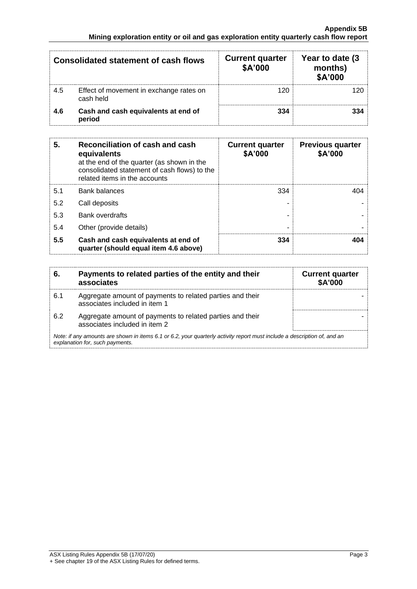|     | <b>Consolidated statement of cash flows</b>          | <b>Current quarter</b><br>\$A'000 | Year to date (3)<br>months)<br>\$A'000 |
|-----|------------------------------------------------------|-----------------------------------|----------------------------------------|
| 4.5 | Effect of movement in exchange rates on<br>cash held | 120                               | 120                                    |
| 4.6 | Cash and cash equivalents at end of<br>period        | 334                               | 334                                    |

| 5.  | Reconciliation of cash and cash<br>equivalents<br>at the end of the quarter (as shown in the<br>consolidated statement of cash flows) to the<br>related items in the accounts | <b>Current quarter</b><br>\$A'000 | <b>Previous quarter</b><br>\$A'000 |
|-----|-------------------------------------------------------------------------------------------------------------------------------------------------------------------------------|-----------------------------------|------------------------------------|
| 5.1 | <b>Bank balances</b>                                                                                                                                                          | 334                               | 404                                |
| 5.2 | Call deposits                                                                                                                                                                 |                                   |                                    |
| 5.3 | <b>Bank overdrafts</b>                                                                                                                                                        |                                   |                                    |
| 5.4 | Other (provide details)                                                                                                                                                       | -                                 |                                    |
| 5.5 | Cash and cash equivalents at end of<br>quarter (should equal item 4.6 above)                                                                                                  | 334                               | 404                                |

| 6.  | Payments to related parties of the entity and their<br>associates                                                                                           | <b>Current quarter</b><br><b>\$A'000</b> |
|-----|-------------------------------------------------------------------------------------------------------------------------------------------------------------|------------------------------------------|
| 6.1 | Aggregate amount of payments to related parties and their<br>associates included in item 1                                                                  |                                          |
| 6.2 | Aggregate amount of payments to related parties and their<br>associates included in item 2                                                                  |                                          |
|     | Note: if any amounts are shown in items 6.1 or 6.2, your quarterly activity report must include a description of, and an<br>explanation for, such payments. |                                          |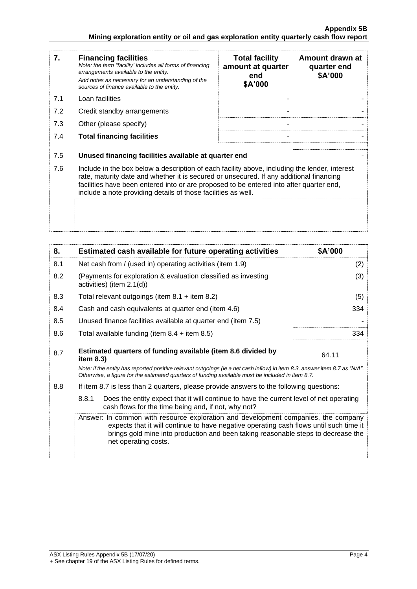| 7.  | <b>Financing facilities</b><br>Note: the term "facility' includes all forms of financing<br>arrangements available to the entity.<br>Add notes as necessary for an understanding of the<br>sources of finance available to the entity.                                                                                                               | <b>Total facility</b><br>amount at quarter<br>end<br>\$A'000 | Amount drawn at<br>quarter end<br>\$A'000 |
|-----|------------------------------------------------------------------------------------------------------------------------------------------------------------------------------------------------------------------------------------------------------------------------------------------------------------------------------------------------------|--------------------------------------------------------------|-------------------------------------------|
| 7.1 | Loan facilities                                                                                                                                                                                                                                                                                                                                      |                                                              |                                           |
| 7.2 | Credit standby arrangements                                                                                                                                                                                                                                                                                                                          |                                                              |                                           |
| 7.3 | Other (please specify)                                                                                                                                                                                                                                                                                                                               |                                                              |                                           |
| 7.4 | <b>Total financing facilities</b>                                                                                                                                                                                                                                                                                                                    |                                                              |                                           |
| 7.5 | Unused financing facilities available at quarter end                                                                                                                                                                                                                                                                                                 |                                                              |                                           |
| 7.6 | Include in the box below a description of each facility above, including the lender, interest<br>rate, maturity date and whether it is secured or unsecured. If any additional financing<br>facilities have been entered into or are proposed to be entered into after quarter end,<br>include a note providing details of those facilities as well. |                                                              |                                           |
|     |                                                                                                                                                                                                                                                                                                                                                      |                                                              |                                           |

| 8.  | Estimated cash available for future operating activities                                                                                                                                                                        | \$A'000 |
|-----|---------------------------------------------------------------------------------------------------------------------------------------------------------------------------------------------------------------------------------|---------|
| 8.1 | Net cash from / (used in) operating activities (item 1.9)                                                                                                                                                                       | (2)     |
| 8.2 | (Payments for exploration & evaluation classified as investing<br>activities) (item $2.1(d)$ )                                                                                                                                  | (3)     |
| 8.3 | Total relevant outgoings (item $8.1 +$ item $8.2$ )                                                                                                                                                                             | (5)     |
| 8.4 | Cash and cash equivalents at quarter end (item 4.6)                                                                                                                                                                             | 334     |
| 8.5 | Unused finance facilities available at quarter end (item 7.5)                                                                                                                                                                   |         |
| 8.6 | Total available funding (item $8.4 +$ item $8.5$ )                                                                                                                                                                              | 334     |
| 8.7 | Estimated quarters of funding available (item 8.6 divided by<br>item $8.3$ )                                                                                                                                                    | 64.11   |
|     | Note: if the entity has reported positive relevant outgoings (ie a net cash inflow) in item 8.3, answer item 8.7 as "N/A".<br>Otherwise, a figure for the estimated quarters of funding available must be included in item 8.7. |         |

8.8 If item 8.7 is less than 2 quarters, please provide answers to the following questions:

8.8.1 Does the entity expect that it will continue to have the current level of net operating cash flows for the time being and, if not, why not?

Answer: In common with resource exploration and development companies, the company expects that it will continue to have negative operating cash flows until such time it brings gold mine into production and been taking reasonable steps to decrease the net operating costs.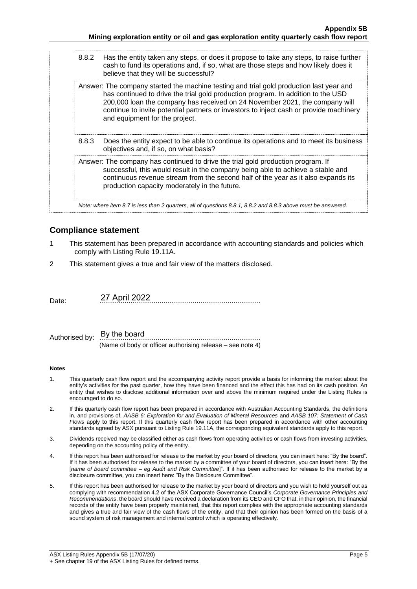| 8.8.2 | Has the entity taken any steps, or does it propose to take any steps, to raise further<br>cash to fund its operations and, if so, what are those steps and how likely does it<br>believe that they will be successful?                                                                                                                                                                 |
|-------|----------------------------------------------------------------------------------------------------------------------------------------------------------------------------------------------------------------------------------------------------------------------------------------------------------------------------------------------------------------------------------------|
|       | Answer: The company started the machine testing and trial gold production last year and<br>has continued to drive the trial gold production program. In addition to the USD<br>200,000 loan the company has received on 24 November 2021, the company will<br>continue to invite potential partners or investors to inject cash or provide machinery<br>and equipment for the project. |
| 8.8.3 | Does the entity expect to be able to continue its operations and to meet its business<br>objectives and, if so, on what basis?                                                                                                                                                                                                                                                         |
|       | Answer: The company has continued to drive the trial gold production program. If<br>successful, this would result in the company being able to achieve a stable and<br>continuous revenue stream from the second half of the year as it also expands its<br>production capacity moderately in the future.                                                                              |
|       | Note: where item 8.7 is less than 2 quarters, all of questions 8.8.1, 8.8.2 and 8.8.3 above must be answered.                                                                                                                                                                                                                                                                          |

### **Compliance statement**

- 1 This statement has been prepared in accordance with accounting standards and policies which comply with Listing Rule 19.11A.
- 2 This statement gives a true and fair view of the matters disclosed.

Date: ................................................................................... 27 April 2022

Authorised by: ................................................................................... (Name of body or officer authorising release – see note 4) By the board

#### **Notes**

- 1. This quarterly cash flow report and the accompanying activity report provide a basis for informing the market about the entity's activities for the past quarter, how they have been financed and the effect this has had on its cash position. An entity that wishes to disclose additional information over and above the minimum required under the Listing Rules is encouraged to do so.
- 2. If this quarterly cash flow report has been prepared in accordance with Australian Accounting Standards, the definitions in, and provisions of, *AASB 6: Exploration for and Evaluation of Mineral Resources* and *AASB 107: Statement of Cash Flows* apply to this report. If this quarterly cash flow report has been prepared in accordance with other accounting standards agreed by ASX pursuant to Listing Rule 19.11A, the corresponding equivalent standards apply to this report.
- 3. Dividends received may be classified either as cash flows from operating activities or cash flows from investing activities, depending on the accounting policy of the entity.
- 4. If this report has been authorised for release to the market by your board of directors, you can insert here: "By the board". If it has been authorised for release to the market by a committee of your board of directors, you can insert here: "By the [*name of board committee* – *eg Audit and Risk Committee*]". If it has been authorised for release to the market by a disclosure committee, you can insert here: "By the Disclosure Committee".
- 5. If this report has been authorised for release to the market by your board of directors and you wish to hold yourself out as complying with recommendation 4.2 of the ASX Corporate Governance Council's *Corporate Governance Principles and Recommendations*, the board should have received a declaration from its CEO and CFO that, in their opinion, the financial records of the entity have been properly maintained, that this report complies with the appropriate accounting standards and gives a true and fair view of the cash flows of the entity, and that their opinion has been formed on the basis of a sound system of risk management and internal control which is operating effectively.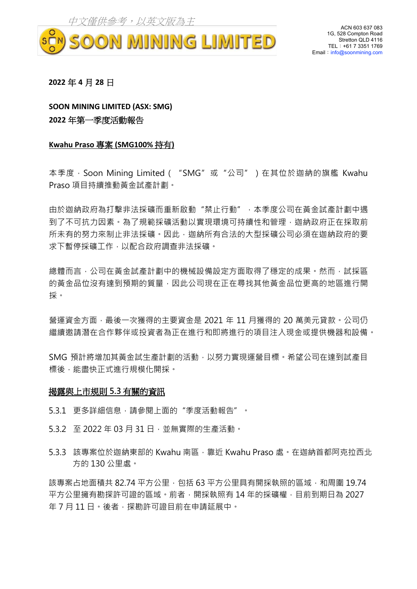

ACN 603 637 083 1G, 528 Compton Road Stretton QLD 4116 TEL:+61 7 3351 1769 Email: info@soonmining.com

#### **2022** 年 **4** 月 **28** 日

**SOON MINING LIMITED (ASX: SMG) 2022** 年第一季度活動報告

#### **Kwahu Praso** 專案 **(SMG100%** 持有**)**

本季度, Soon Mining Limited ( "SMG"或 "公司" ) 在其位於迦納的旗艦 Kwahu Praso 項目持續推動黃金試產計劃。

由於迦納政府為打擊非法採礦而重新啟動"禁止行動",本季度公司在黃金試產計劃中遇 到了不可抗力因素。為了規範採礦活動以實現環境可持續性和管理,迦納政府正在採取前 所未有的努力來制止非法採礦。因此,迦納所有合法的大型採礦公司必須在迦納政府的要 求下暫停採礦工作,以配合政府調查非法採礦。

總體而言,公司在黃金試產計劃中的機械設備設定方面取得了穩定的成果。然而,試採區 的黃金品位沒有達到預期的質量,因此公司現在正在尋找其他黃金品位更高的地區進行開 採。

營運資金方面,最後一次獲得的主要資金是 2021 年 11 月獲得的 20 萬美元貸款。公司仍 繼續邀請潛在合作夥伴或投資者為正在進行和即將進行的項目注入現金或提供機器和設備。

SMG 預計將增加其黃金試生產計劃的活動,以努力實現運營目標。希望公司在達到試產目 標後,能盡快正式進行規模化開採。

### 揭露與上市規則 **5.3** 有關的資訊

- 5.3.1 更多詳細信息,請參閱上面的"季度活動報告"。
- 5.3.2 至 2022 年 03 月 31 日,並無實際的生產活動。
- 5.3.3 該專案位於迦納東部的 Kwahu 南區, 靠近 Kwahu Praso 處。在迦納首都阿克拉西北 方的 130 公里處。

該專案占地面積共 82.74 平方公里,包括 63 平方公里具有開採執照的區域,和周圍 19.74 平方公里擁有勘探許可證的區域。前者,開採執照有 14 年的採礦權,目前到期日為 2027 年 7 月 11 日。後者,探勘許可證目前在申請延展中。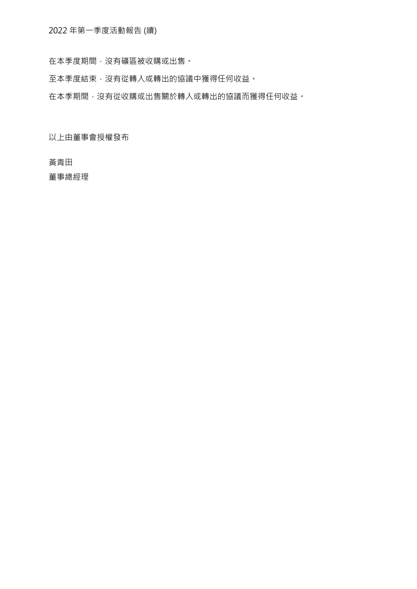在本季度期間,沒有礦區被收購或出售。

至本季度結束,沒有從轉入或轉出的協議中獲得任何收益。

在本季期間,沒有從收購或出售關於轉入或轉出的協議而獲得任何收益。

以上由董事會授權發布

黃青田

董事總經理